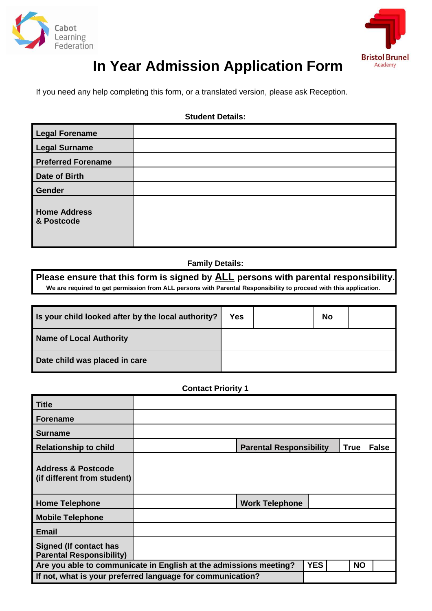



# **In Year Admission Application Form**

If you need any help completing this form, or a translated version, please ask Reception.

### **Student Details:**

| <b>Legal Forename</b>             |  |
|-----------------------------------|--|
| <b>Legal Surname</b>              |  |
| <b>Preferred Forename</b>         |  |
| Date of Birth                     |  |
| <b>Gender</b>                     |  |
| <b>Home Address</b><br>& Postcode |  |

## **Family Details:**

**Please ensure that this form is signed by ALL persons with parental responsibility. We are required to get permission from ALL persons with Parental Responsibility to proceed with this application.**

| Is your child looked after by the local authority? | <b>Yes</b> | <b>No</b> |  |
|----------------------------------------------------|------------|-----------|--|
| Name of Local Authority                            |            |           |  |
| Date child was placed in care                      |            |           |  |

#### **Contact Priority 1**

| <b>Title</b>                                                                                 |  |                                |             |              |
|----------------------------------------------------------------------------------------------|--|--------------------------------|-------------|--------------|
| <b>Forename</b>                                                                              |  |                                |             |              |
| <b>Surname</b>                                                                               |  |                                |             |              |
| <b>Relationship to child</b>                                                                 |  | <b>Parental Responsibility</b> | <b>True</b> | <b>False</b> |
| <b>Address &amp; Postcode</b><br>(if different from student)                                 |  |                                |             |              |
| <b>Home Telephone</b>                                                                        |  | <b>Work Telephone</b>          |             |              |
| <b>Mobile Telephone</b>                                                                      |  |                                |             |              |
| <b>Email</b>                                                                                 |  |                                |             |              |
| <b>Signed (If contact has</b><br><b>Parental Responsibility)</b>                             |  |                                |             |              |
| Are you able to communicate in English at the admissions meeting?<br><b>YES</b><br><b>NO</b> |  |                                |             |              |
| If not, what is your preferred language for communication?                                   |  |                                |             |              |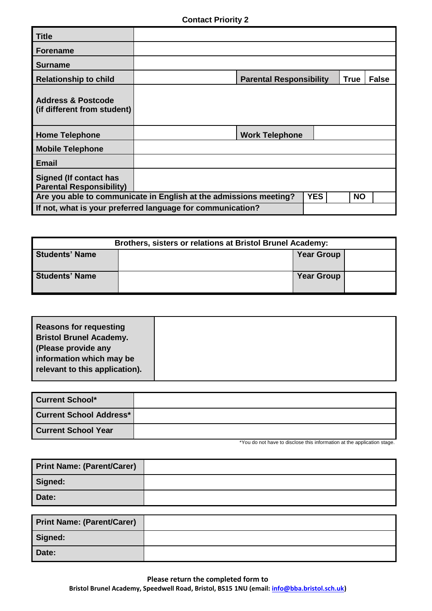| <b>Title</b>                                                                                 |  |                                |  |             |              |
|----------------------------------------------------------------------------------------------|--|--------------------------------|--|-------------|--------------|
| <b>Forename</b>                                                                              |  |                                |  |             |              |
| <b>Surname</b>                                                                               |  |                                |  |             |              |
| <b>Relationship to child</b>                                                                 |  | <b>Parental Responsibility</b> |  | <b>True</b> | <b>False</b> |
| <b>Address &amp; Postcode</b><br>(if different from student)                                 |  |                                |  |             |              |
| <b>Home Telephone</b>                                                                        |  | <b>Work Telephone</b>          |  |             |              |
| <b>Mobile Telephone</b>                                                                      |  |                                |  |             |              |
| <b>Email</b>                                                                                 |  |                                |  |             |              |
| <b>Signed (If contact has</b><br><b>Parental Responsibility)</b>                             |  |                                |  |             |              |
| Are you able to communicate in English at the admissions meeting?<br><b>YES</b><br><b>NO</b> |  |                                |  |             |              |
| If not, what is your preferred language for communication?                                   |  |                                |  |             |              |

| <b>Brothers, sisters or relations at Bristol Brunel Academy:</b> |  |                   |  |
|------------------------------------------------------------------|--|-------------------|--|
| <b>Students' Name</b>                                            |  | <b>Year Group</b> |  |
| <b>Students' Name</b>                                            |  | <b>Year Group</b> |  |

| relevant to this application). |
|--------------------------------|
|--------------------------------|

| <b>Current School*</b>         |  |
|--------------------------------|--|
| <b>Current School Address*</b> |  |
| <b>Current School Year</b>     |  |

\*You do not have to disclose this information at the application stage.

| <b>Print Name: (Parent/Carer)</b> |  |
|-----------------------------------|--|
| Signed:                           |  |
| Date:                             |  |

| <b>Print Name: (Parent/Carer)</b> |  |
|-----------------------------------|--|
| Signed:                           |  |
| Date:                             |  |